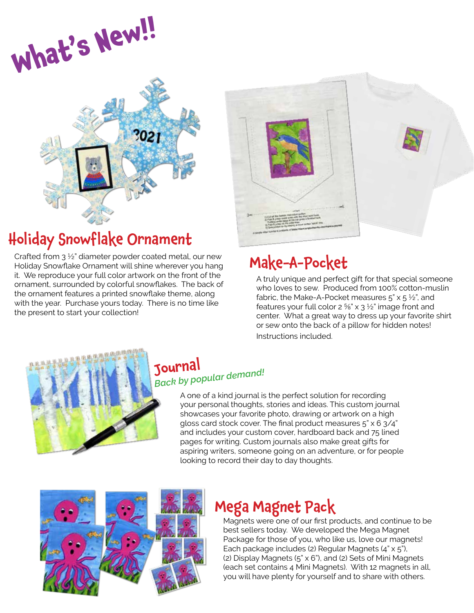



## Holiday Snowflake Ornament

Crafted from 3 ½" diameter powder coated metal, our new Holiday Snowflake Ornament will shine wherever you hang it. We reproduce your full color artwork on the front of the ornament, surrounded by colorful snowflakes. The back of the ornament features a printed snowflake theme, along with the year. Purchase yours today. There is no time like the present to start your collection!



## Make-A-Pocket

A truly unique and perfect gift for that special someone who loves to sew. Produced from 100% cotton-muslin fabric, the Make-A-Pocket measures  $5'' \times 5 \frac{1}{2}$ , and features your full color  $2\frac{5}{8}$ " x  $3\frac{1}{2}$ " image front and center. What a great way to dress up your favorite shirt or sew onto the back of a pillow for hidden notes! Instructions included.



#### Journal *Back by popular demand!*

A one of a kind journal is the perfect solution for recording your personal thoughts, stories and ideas. This custom journal showcases your favorite photo, drawing or artwork on a high gloss card stock cover. The final product measures 5" x 6 3/4" and includes your custom cover, hardboard back and 75 lined pages for writing. Custom journals also make great gifts for aspiring writers, someone going on an adventure, or for people looking to record their day to day thoughts.



### Mega Magnet Pack

Magnets were one of our first products, and continue to be best sellers today. We developed the Mega Magnet Package for those of you, who like us, love our magnets! Each package includes (2) Regular Magnets (4" x 5"), (2) Display Magnets (5" x 6"), and (2) Sets of Mini Magnets (each set contains 4 Mini Magnets). With 12 magnets in all, you will have plenty for yourself and to share with others.